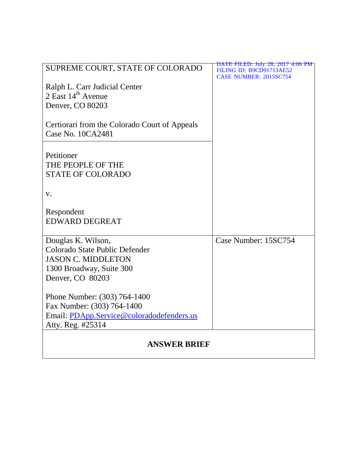|                                               | DATE FILED: July 28, 2017 4:06 PM |
|-----------------------------------------------|-----------------------------------|
| SUPREME COURT, STATE OF COLORADO              | FILING ID: B9CD91713AE52          |
|                                               | <b>CASE NUMBER: 2015SC754</b>     |
| Ralph L. Carr Judicial Center                 |                                   |
| 2 East 14 <sup>th</sup> Avenue                |                                   |
| Denver, CO 80203                              |                                   |
|                                               |                                   |
|                                               |                                   |
| Certiorari from the Colorado Court of Appeals |                                   |
| Case No. 10CA2481                             |                                   |
|                                               |                                   |
| Petitioner                                    |                                   |
| THE PEOPLE OF THE                             |                                   |
| <b>STATE OF COLORADO</b>                      |                                   |
|                                               |                                   |
|                                               |                                   |
| V.                                            |                                   |
|                                               |                                   |
| Respondent                                    |                                   |
| <b>EDWARD DEGREAT</b>                         |                                   |
|                                               |                                   |
| Douglas K. Wilson,                            | Case Number: 15SC754              |
| Colorado State Public Defender                |                                   |
| <b>JASON C. MIDDLETON</b>                     |                                   |
| 1300 Broadway, Suite 300                      |                                   |
| Denver, CO 80203                              |                                   |
|                                               |                                   |
| Phone Number: (303) 764-1400                  |                                   |
| Fax Number: (303) 764-1400                    |                                   |
| Email: PDApp.Service@coloradodefenders.us     |                                   |
| Atty. Reg. #25314                             |                                   |
|                                               |                                   |
| <b>ANSWER BRIEF</b>                           |                                   |
|                                               |                                   |
|                                               |                                   |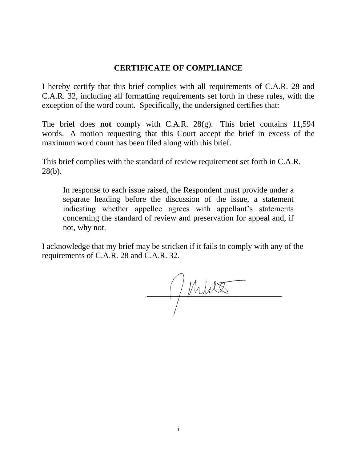## **CERTIFICATE OF COMPLIANCE**

I hereby certify that this brief complies with all requirements of C.A.R. 28 and C.A.R. 32, including all formatting requirements set forth in these rules, with the exception of the word count. Specifically, the undersigned certifies that:

The brief does **not** comply with C.A.R. 28(g). This brief contains 11,594 words. A motion requesting that this Court accept the brief in excess of the maximum word count has been filed along with this brief.

This brief complies with the standard of review requirement set forth in C.A.R. 28(b).

In response to each issue raised, the Respondent must provide under a separate heading before the discussion of the issue, a statement indicating whether appellee agrees with appellant's statements concerning the standard of review and preservation for appeal and, if not, why not.

I acknowledge that my brief may be stricken if it fails to comply with any of the requirements of C.A.R. 28 and C.A.R. 32.

 $\frac{1}{2}$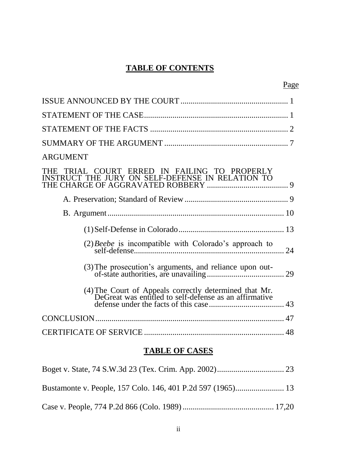# **TABLE OF CONTENTS**

| Page                                                                                                             |
|------------------------------------------------------------------------------------------------------------------|
|                                                                                                                  |
|                                                                                                                  |
|                                                                                                                  |
|                                                                                                                  |
| <b>ARGUMENT</b>                                                                                                  |
| THE TRIAL COURT ERRED IN FAILING TO PROPERLY<br>ICT THE JURY ON SELF-DEFENSE IN RELATION TO<br><b>INSTRU</b>     |
|                                                                                                                  |
|                                                                                                                  |
|                                                                                                                  |
| $(2)$ <i>Beebe</i> is incompatible with Colorado's approach to<br>24                                             |
|                                                                                                                  |
| (4) The Court of Appeals correctly determined that Mr.<br>DeGreat was entitled to self-defense as an affirmative |
|                                                                                                                  |
|                                                                                                                  |

# **TABLE OF CASES**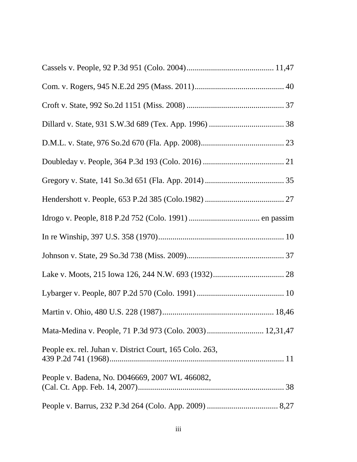| Mata-Medina v. People, 71 P.3d 973 (Colo. 2003)  12,31,47 |
|-----------------------------------------------------------|
| People ex. rel. Juhan v. District Court, 165 Colo. 263,   |
| People v. Badena, No. D046669, 2007 WL 466082,            |
|                                                           |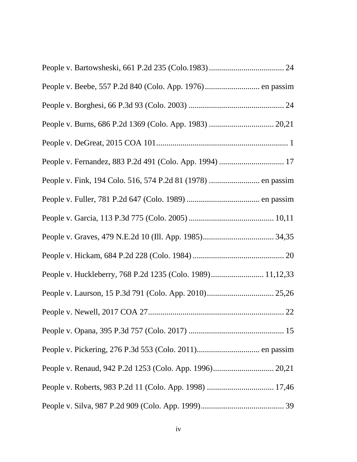| People v. Beebe, 557 P.2d 840 (Colo. App. 1976) en passim  |  |
|------------------------------------------------------------|--|
|                                                            |  |
|                                                            |  |
|                                                            |  |
|                                                            |  |
|                                                            |  |
|                                                            |  |
|                                                            |  |
|                                                            |  |
|                                                            |  |
| People v. Huckleberry, 768 P.2d 1235 (Colo. 1989) 11,12,33 |  |
|                                                            |  |
|                                                            |  |
|                                                            |  |
|                                                            |  |
|                                                            |  |
|                                                            |  |
|                                                            |  |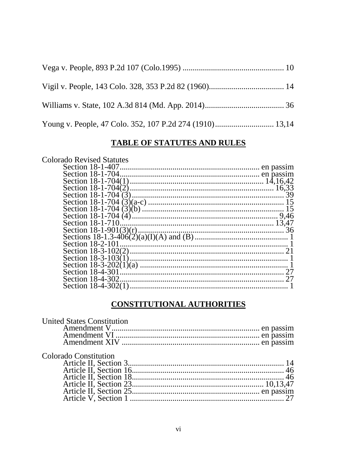# TABLE OF STATUTES AND RULES

| <b>Colorado Revised Statutes</b> |    |
|----------------------------------|----|
| Section 18-1-407                 |    |
|                                  |    |
|                                  |    |
|                                  |    |
|                                  | 39 |
|                                  |    |
|                                  |    |
|                                  |    |
| Section 18-1-710                 |    |
|                                  |    |
|                                  |    |
|                                  |    |
|                                  |    |
|                                  |    |
|                                  |    |
| Section 18-4-301                 |    |
| Section 18-4-302                 |    |
|                                  |    |

# **CONSTITUTIONAL AUTHORITIES**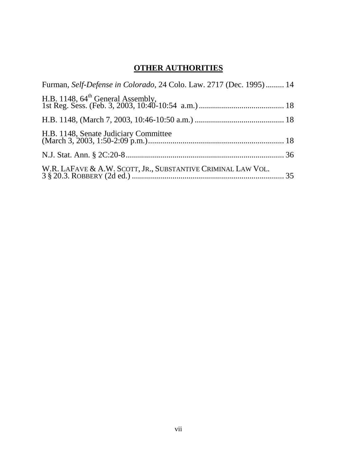# **OTHER AUTHORITIES**

| Furman, Self-Defense in Colorado, 24 Colo. Law. 2717 (Dec. 1995) 14 |
|---------------------------------------------------------------------|
|                                                                     |
|                                                                     |
|                                                                     |
|                                                                     |
|                                                                     |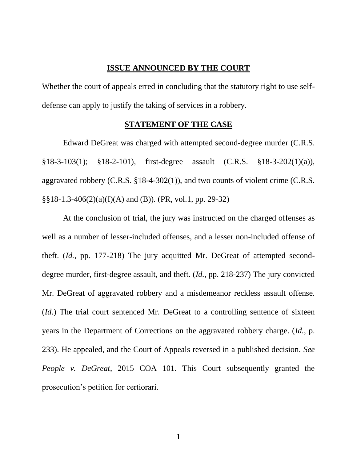### **ISSUE ANNOUNCED BY THE COURT**

Whether the court of appeals erred in concluding that the statutory right to use selfdefense can apply to justify the taking of services in a robbery.

#### **STATEMENT OF THE CASE**

Edward DeGreat was charged with attempted second-degree murder (C.R.S. §18-3-103(1); §18-2-101), first-degree assault (C.R.S. §18-3-202(1)(a)), aggravated robbery (C.R.S. §18-4-302(1)), and two counts of violent crime (C.R.S.  $\S$ §18-1.3-406(2)(a)(I)(A) and (B)). (PR, vol.1, pp. 29-32)

At the conclusion of trial, the jury was instructed on the charged offenses as well as a number of lesser-included offenses, and a lesser non-included offense of theft. (*Id.*, pp. 177-218) The jury acquitted Mr. DeGreat of attempted seconddegree murder, first-degree assault, and theft. (*Id.*, pp. 218-237) The jury convicted Mr. DeGreat of aggravated robbery and a misdemeanor reckless assault offense. (*Id.*) The trial court sentenced Mr. DeGreat to a controlling sentence of sixteen years in the Department of Corrections on the aggravated robbery charge. (*Id.*, p. 233). He appealed, and the Court of Appeals reversed in a published decision. *See People v. DeGreat*, 2015 COA 101. This Court subsequently granted the prosecution"s petition for certiorari.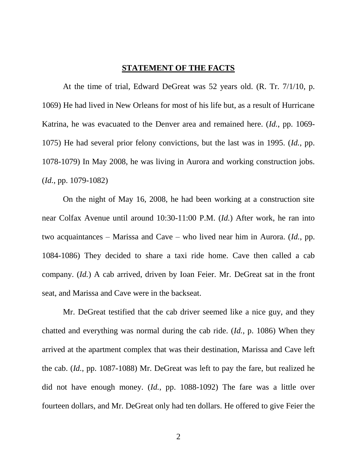#### **STATEMENT OF THE FACTS**

At the time of trial, Edward DeGreat was 52 years old. (R. Tr. 7/1/10, p. 1069) He had lived in New Orleans for most of his life but, as a result of Hurricane Katrina, he was evacuated to the Denver area and remained here. (*Id.*, pp. 1069- 1075) He had several prior felony convictions, but the last was in 1995. (*Id.*, pp. 1078-1079) In May 2008, he was living in Aurora and working construction jobs. (*Id.*, pp. 1079-1082)

On the night of May 16, 2008, he had been working at a construction site near Colfax Avenue until around 10:30-11:00 P.M. (*Id.*) After work, he ran into two acquaintances – Marissa and Cave – who lived near him in Aurora. (*Id.*, pp. 1084-1086) They decided to share a taxi ride home. Cave then called a cab company. (*Id.*) A cab arrived, driven by Ioan Feier. Mr. DeGreat sat in the front seat, and Marissa and Cave were in the backseat.

Mr. DeGreat testified that the cab driver seemed like a nice guy, and they chatted and everything was normal during the cab ride. (*Id.*, p. 1086) When they arrived at the apartment complex that was their destination, Marissa and Cave left the cab. (*Id.*, pp. 1087-1088) Mr. DeGreat was left to pay the fare, but realized he did not have enough money. (*Id.*, pp. 1088-1092) The fare was a little over fourteen dollars, and Mr. DeGreat only had ten dollars. He offered to give Feier the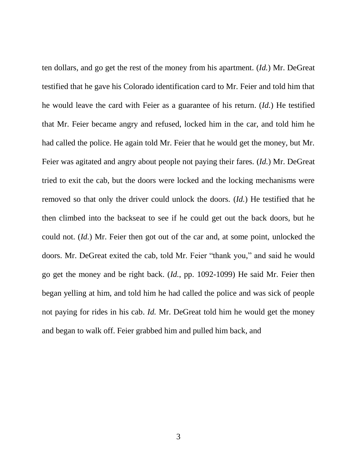ten dollars, and go get the rest of the money from his apartment. (*Id.*) Mr. DeGreat testified that he gave his Colorado identification card to Mr. Feier and told him that he would leave the card with Feier as a guarantee of his return. (*Id.*) He testified that Mr. Feier became angry and refused, locked him in the car, and told him he had called the police. He again told Mr. Feier that he would get the money, but Mr. Feier was agitated and angry about people not paying their fares. (*Id.*) Mr. DeGreat tried to exit the cab, but the doors were locked and the locking mechanisms were removed so that only the driver could unlock the doors. (*Id.*) He testified that he then climbed into the backseat to see if he could get out the back doors, but he could not. (*Id.*) Mr. Feier then got out of the car and, at some point, unlocked the doors. Mr. DeGreat exited the cab, told Mr. Feier "thank you," and said he would go get the money and be right back. (*Id.*, pp. 1092-1099) He said Mr. Feier then began yelling at him, and told him he had called the police and was sick of people not paying for rides in his cab. *Id.* Mr. DeGreat told him he would get the money and began to walk off. Feier grabbed him and pulled him back, and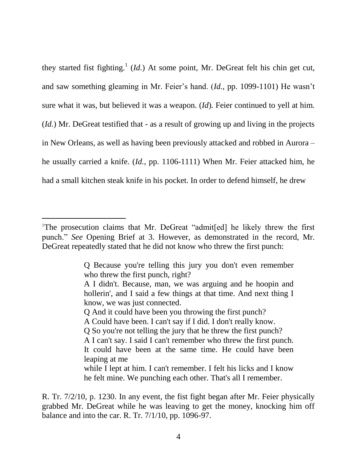they started fist fighting.<sup>1</sup> (*Id.*) At some point, Mr. DeGreat felt his chin get cut, and saw something gleaming in Mr. Feier"s hand. (*Id.*, pp. 1099-1101) He wasn"t sure what it was, but believed it was a weapon. (*Id*)*.* Feier continued to yell at him. (*Id.*) Mr. DeGreat testified that - as a result of growing up and living in the projects in New Orleans, as well as having been previously attacked and robbed in Aurora – he usually carried a knife. (*Id.*, pp. 1106-1111) When Mr. Feier attacked him, he had a small kitchen steak knife in his pocket. In order to defend himself, he drew

 $\overline{a}$ 

<sup>1</sup>The prosecution claims that Mr. DeGreat "admit[ed] he likely threw the first punch." *See* Opening Brief at 3. However, as demonstrated in the record, Mr. DeGreat repeatedly stated that he did not know who threw the first punch:

Q Because you're telling this jury you don't even remember who threw the first punch, right?

A I didn't. Because, man, we was arguing and he hoopin and hollerin', and I said a few things at that time. And next thing I know, we was just connected.

Q And it could have been you throwing the first punch?

A Could have been. I can't say if I did. I don't really know.

Q So you're not telling the jury that he threw the first punch?

A I can't say. I said I can't remember who threw the first punch. It could have been at the same time. He could have been leaping at me

while I lept at him. I can't remember. I felt his licks and I know he felt mine. We punching each other. That's all I remember.

R. Tr. 7/2/10, p. 1230. In any event, the fist fight began after Mr. Feier physically grabbed Mr. DeGreat while he was leaving to get the money, knocking him off balance and into the car. R. Tr. 7/1/10, pp. 1096-97.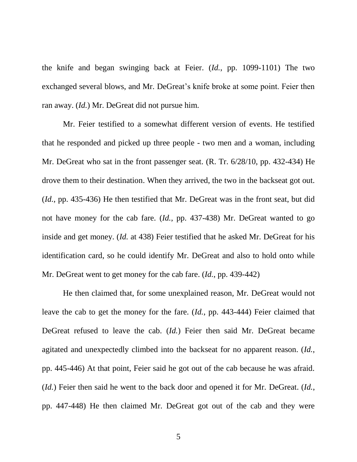the knife and began swinging back at Feier. (*Id.*, pp. 1099-1101) The two exchanged several blows, and Mr. DeGreat's knife broke at some point. Feier then ran away. (*Id.*) Mr. DeGreat did not pursue him.

Mr. Feier testified to a somewhat different version of events. He testified that he responded and picked up three people - two men and a woman, including Mr. DeGreat who sat in the front passenger seat. (R. Tr. 6/28/10, pp. 432-434) He drove them to their destination. When they arrived, the two in the backseat got out. (*Id.*, pp. 435-436) He then testified that Mr. DeGreat was in the front seat, but did not have money for the cab fare. (*Id.*, pp. 437-438) Mr. DeGreat wanted to go inside and get money. (*Id.* at 438) Feier testified that he asked Mr. DeGreat for his identification card, so he could identify Mr. DeGreat and also to hold onto while Mr. DeGreat went to get money for the cab fare. (*Id.*, pp. 439-442)

He then claimed that, for some unexplained reason, Mr. DeGreat would not leave the cab to get the money for the fare. (*Id.*, pp. 443-444) Feier claimed that DeGreat refused to leave the cab. (*Id.*) Feier then said Mr. DeGreat became agitated and unexpectedly climbed into the backseat for no apparent reason. (*Id.*, pp. 445-446) At that point, Feier said he got out of the cab because he was afraid. (*Id.*) Feier then said he went to the back door and opened it for Mr. DeGreat. (*Id.*, pp. 447-448) He then claimed Mr. DeGreat got out of the cab and they were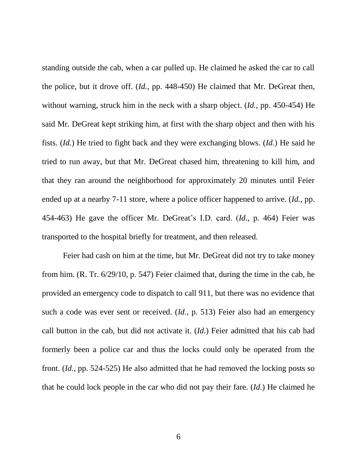standing outside the cab, when a car pulled up. He claimed he asked the car to call the police, but it drove off. (*Id.*, pp. 448-450) He claimed that Mr. DeGreat then, without warning, struck him in the neck with a sharp object. (*Id.*, pp. 450-454) He said Mr. DeGreat kept striking him, at first with the sharp object and then with his fists. (*Id.*) He tried to fight back and they were exchanging blows. (*Id.*) He said he tried to run away, but that Mr. DeGreat chased him, threatening to kill him, and that they ran around the neighborhood for approximately 20 minutes until Feier ended up at a nearby 7-11 store, where a police officer happened to arrive. (*Id.*, pp. 454-463) He gave the officer Mr. DeGreat"s I.D. card. (*Id.*, p. 464) Feier was transported to the hospital briefly for treatment, and then released.

Feier had cash on him at the time, but Mr. DeGreat did not try to take money from him. (R. Tr. 6/29/10, p. 547) Feier claimed that, during the time in the cab, he provided an emergency code to dispatch to call 911, but there was no evidence that such a code was ever sent or received. (*Id.*, p. 513) Feier also had an emergency call button in the cab, but did not activate it. (*Id.*) Feier admitted that his cab had formerly been a police car and thus the locks could only be operated from the front. (*Id.*, pp. 524-525) He also admitted that he had removed the locking posts so that he could lock people in the car who did not pay their fare. (*Id.*) He claimed he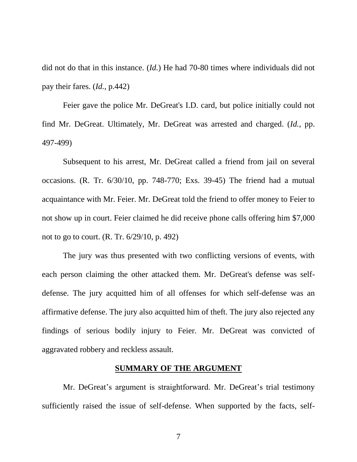did not do that in this instance. (*Id.*) He had 70-80 times where individuals did not pay their fares. (*Id.*, p.442)

Feier gave the police Mr. DeGreat's I.D. card, but police initially could not find Mr. DeGreat. Ultimately, Mr. DeGreat was arrested and charged. (*Id.*, pp. 497-499)

Subsequent to his arrest, Mr. DeGreat called a friend from jail on several occasions. (R. Tr. 6/30/10, pp. 748-770; Exs. 39-45) The friend had a mutual acquaintance with Mr. Feier. Mr. DeGreat told the friend to offer money to Feier to not show up in court. Feier claimed he did receive phone calls offering him \$7,000 not to go to court. (R. Tr. 6/29/10, p. 492)

The jury was thus presented with two conflicting versions of events, with each person claiming the other attacked them. Mr. DeGreat's defense was selfdefense. The jury acquitted him of all offenses for which self-defense was an affirmative defense. The jury also acquitted him of theft. The jury also rejected any findings of serious bodily injury to Feier. Mr. DeGreat was convicted of aggravated robbery and reckless assault.

#### **SUMMARY OF THE ARGUMENT**

Mr. DeGreat's argument is straightforward. Mr. DeGreat's trial testimony sufficiently raised the issue of self-defense. When supported by the facts, self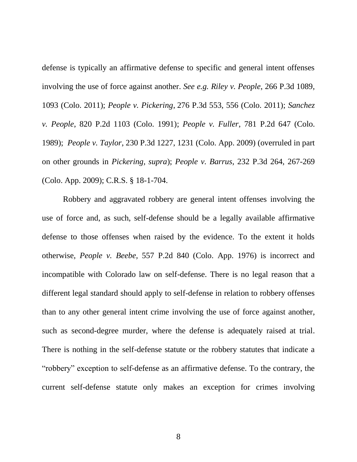defense is typically an affirmative defense to specific and general intent offenses involving the use of force against another. *See e.g. Riley v. People*, 266 P.3d 1089, 1093 (Colo. 2011); *People v. Pickering*, 276 P.3d 553, 556 (Colo. 2011); *Sanchez v. People*, 820 P.2d 1103 (Colo. 1991); *People v. Fuller*, 781 P.2d 647 (Colo. 1989); *People v. Taylor*, 230 P.3d 1227, 1231 (Colo. App. 2009) (overruled in part on other grounds in *Pickering, supra*); *People v. Barrus*, 232 P.3d 264, 267-269 (Colo. App. 2009); C.R.S. § 18-1-704.

Robbery and aggravated robbery are general intent offenses involving the use of force and, as such, self-defense should be a legally available affirmative defense to those offenses when raised by the evidence. To the extent it holds otherwise, *People v. Beebe,* 557 P.2d 840 (Colo. App. 1976) is incorrect and incompatible with Colorado law on self-defense. There is no legal reason that a different legal standard should apply to self-defense in relation to robbery offenses than to any other general intent crime involving the use of force against another, such as second-degree murder, where the defense is adequately raised at trial. There is nothing in the self-defense statute or the robbery statutes that indicate a "robbery" exception to self-defense as an affirmative defense. To the contrary, the current self-defense statute only makes an exception for crimes involving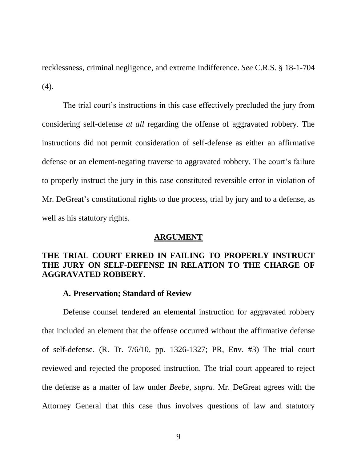recklessness, criminal negligence, and extreme indifference. *See* C.R.S. § 18-1-704 (4).

The trial court's instructions in this case effectively precluded the jury from considering self-defense *at all* regarding the offense of aggravated robbery. The instructions did not permit consideration of self-defense as either an affirmative defense or an element-negating traverse to aggravated robbery. The court's failure to properly instruct the jury in this case constituted reversible error in violation of Mr. DeGreat's constitutional rights to due process, trial by jury and to a defense, as well as his statutory rights.

#### **ARGUMENT**

## **THE TRIAL COURT ERRED IN FAILING TO PROPERLY INSTRUCT THE JURY ON SELF-DEFENSE IN RELATION TO THE CHARGE OF AGGRAVATED ROBBERY.**

#### **A. Preservation; Standard of Review**

Defense counsel tendered an elemental instruction for aggravated robbery that included an element that the offense occurred without the affirmative defense of self-defense. (R. Tr. 7/6/10, pp. 1326-1327; PR, Env. #3) The trial court reviewed and rejected the proposed instruction. The trial court appeared to reject the defense as a matter of law under *Beebe, supra*. Mr. DeGreat agrees with the Attorney General that this case thus involves questions of law and statutory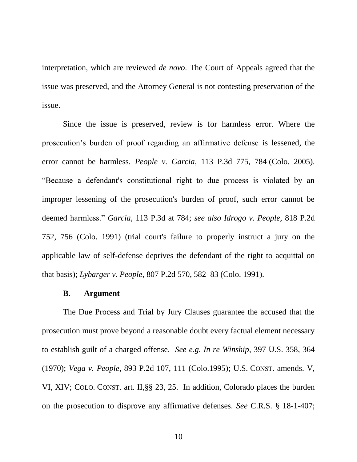interpretation, which are reviewed *de novo*. The Court of Appeals agreed that the issue was preserved, and the Attorney General is not contesting preservation of the issue.

Since the issue is preserved, review is for harmless error. Where the prosecution"s burden of proof regarding an affirmative defense is lessened, the error cannot be harmless. *People v. Garcia*, 113 P.3d 775, 784 (Colo. 2005). "Because a defendant's constitutional right to due process is violated by an improper lessening of the prosecution's burden of proof, such error cannot be deemed harmless." *Garcia*, 113 P.3d at 784; *see also Idrogo v. People,* 818 P.2d 752, 756 (Colo. 1991) (trial court's failure to properly instruct a jury on the applicable law of self-defense deprives the defendant of the right to acquittal on that basis); *Lybarger v. People,* 807 P.2d 570, 582–83 (Colo. 1991).

#### **B. Argument**

The Due Process and Trial by Jury Clauses guarantee the accused that the prosecution must prove beyond a reasonable doubt every factual element necessary to establish guilt of a charged offense. *See e.g. In re Winship*, 397 U.S. 358, 364 (1970); *Vega v. People*, 893 P.2d 107, 111 (Colo.1995); U.S. CONST. amends. V, VI, XIV; COLO. CONST. art. II,§§ 23, 25. In addition, Colorado places the burden on the prosecution to disprove any affirmative defenses. *See* C.R.S. § 18-1-407;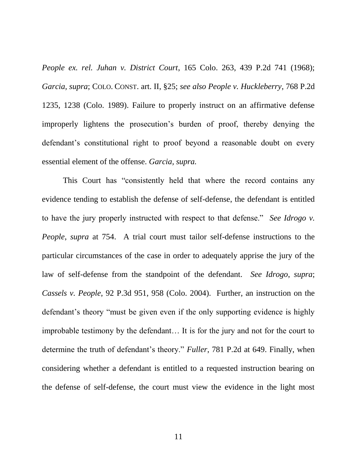*People ex. rel. Juhan v. District Court*, 165 Colo. 263, 439 P.2d 741 (1968); *Garcia, supra*; COLO. CONST. art. II, §25; *see also People v. Huckleberry*, 768 P.2d 1235, 1238 (Colo. 1989). Failure to properly instruct on an affirmative defense improperly lightens the prosecution"s burden of proof, thereby denying the defendant's constitutional right to proof beyond a reasonable doubt on every essential element of the offense. *Garcia, supra.*

This Court has "consistently held that where the record contains any evidence tending to establish the defense of self-defense, the defendant is entitled to have the jury properly instructed with respect to that defense." *See Idrogo v. People*, *supra* at 754. A trial court must tailor self-defense instructions to the particular circumstances of the case in order to adequately apprise the jury of the law of self-defense from the standpoint of the defendant. *See Idrogo*, *supra*; *Cassels v. People*, 92 P.3d 951, 958 (Colo. 2004). Further, an instruction on the defendant"s theory "must be given even if the only supporting evidence is highly improbable testimony by the defendant… It is for the jury and not for the court to determine the truth of defendant's theory." *Fuller*, 781 P.2d at 649. Finally, when considering whether a defendant is entitled to a requested instruction bearing on the defense of self-defense, the court must view the evidence in the light most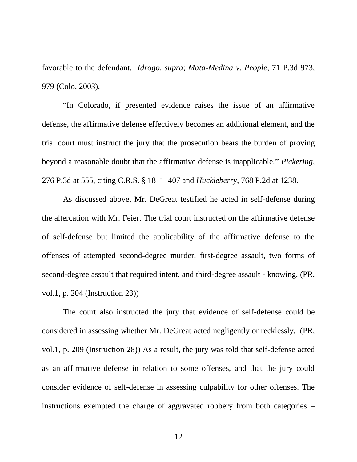favorable to the defendant. *Idrogo, supra*; *Mata-Medina v. People*, 71 P.3d 973, 979 (Colo. 2003).

"In Colorado, if presented evidence raises the issue of an affirmative defense, the affirmative defense effectively becomes an additional element, and the trial court must instruct the jury that the prosecution bears the burden of proving beyond a reasonable doubt that the affirmative defense is inapplicable." *Pickering*, 276 P.3d at 555, citing C.R.S. § 18–1–407 and *Huckleberry*, 768 P.2d at 1238.

As discussed above, Mr. DeGreat testified he acted in self-defense during the altercation with Mr. Feier. The trial court instructed on the affirmative defense of self-defense but limited the applicability of the affirmative defense to the offenses of attempted second-degree murder, first-degree assault, two forms of second-degree assault that required intent, and third-degree assault - knowing. (PR, vol.1, p. 204 (Instruction 23))

The court also instructed the jury that evidence of self-defense could be considered in assessing whether Mr. DeGreat acted negligently or recklessly. (PR, vol.1, p. 209 (Instruction 28)) As a result, the jury was told that self-defense acted as an affirmative defense in relation to some offenses, and that the jury could consider evidence of self-defense in assessing culpability for other offenses. The instructions exempted the charge of aggravated robbery from both categories –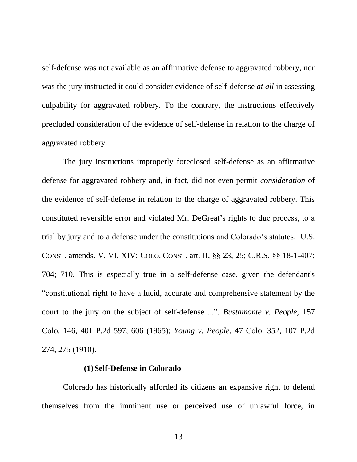self-defense was not available as an affirmative defense to aggravated robbery, nor was the jury instructed it could consider evidence of self-defense *at all* in assessing culpability for aggravated robbery. To the contrary, the instructions effectively precluded consideration of the evidence of self-defense in relation to the charge of aggravated robbery.

The jury instructions improperly foreclosed self-defense as an affirmative defense for aggravated robbery and, in fact, did not even permit *consideration* of the evidence of self-defense in relation to the charge of aggravated robbery. This constituted reversible error and violated Mr. DeGreat's rights to due process, to a trial by jury and to a defense under the constitutions and Colorado"s statutes. U.S. CONST. amends. V, VI, XIV; COLO. CONST. art. II, §§ 23, 25; C.R.S. §§ 18-1-407; 704; 710. This is especially true in a self-defense case, given the defendant's "constitutional right to have a lucid, accurate and comprehensive statement by the court to the jury on the subject of self-defense ...". *Bustamonte v. People,* 157 Colo. 146, 401 P.2d 597, 606 (1965); *Young v. People,* 47 Colo. 352, 107 P.2d 274, 275 (1910).

#### **(1)Self-Defense in Colorado**

Colorado has historically afforded its citizens an expansive right to defend themselves from the imminent use or perceived use of unlawful force, in

13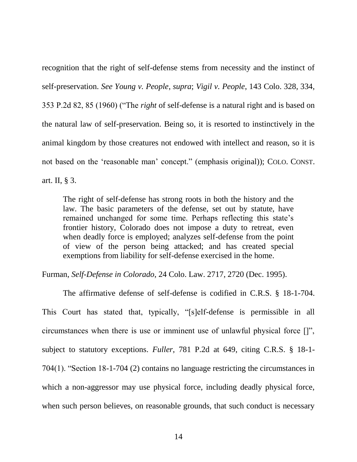recognition that the right of self-defense stems from necessity and the instinct of self-preservation. *See Young v. People*, *supra*; *Vigil v. People*, 143 Colo. 328, 334, 353 P.2d 82, 85 (1960) ("The *right* of self-defense is a natural right and is based on the natural law of self-preservation. Being so, it is resorted to instinctively in the animal kingdom by those creatures not endowed with intellect and reason, so it is not based on the "reasonable man" concept." (emphasis original)); COLO. CONST. art. II, § 3.

The right of self-defense has strong roots in both the history and the law. The basic parameters of the defense, set out by statute, have remained unchanged for some time. Perhaps reflecting this state's frontier history, Colorado does not impose a duty to retreat, even when deadly force is employed; analyzes self-defense from the point of view of the person being attacked; and has created special exemptions from liability for self-defense exercised in the home.

Furman, *Self-Defense in Colorado*, 24 Colo. Law. 2717, 2720 (Dec. 1995).

The affirmative defense of self-defense is codified in C.R.S. § 18-1-704. This Court has stated that, typically, "[s]elf-defense is permissible in all circumstances when there is use or imminent use of unlawful physical force []", subject to statutory exceptions. *Fuller*, 781 P.2d at 649, citing C.R.S. § 18-1- 704(1). "Section 18-1-704 (2) contains no language restricting the circumstances in which a non-aggressor may use physical force, including deadly physical force, when such person believes, on reasonable grounds, that such conduct is necessary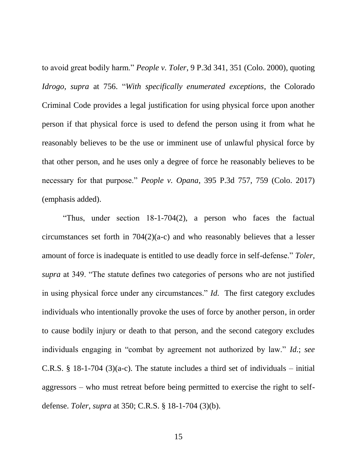to avoid great bodily harm." *People v. Toler*, 9 P.3d 341, 351 (Colo. 2000), quoting *Idrogo, supra* at 756. "*With specifically enumerated exceptions*, the Colorado Criminal Code provides a legal justification for using physical force upon another person if that physical force is used to defend the person using it from what he reasonably believes to be the use or imminent use of unlawful physical force by that other person, and he uses only a degree of force he reasonably believes to be necessary for that purpose." *People v. Opana*, 395 P.3d 757, 759 (Colo. 2017) (emphasis added).

"Thus, under section 18-1-704(2), a person who faces the factual circumstances set forth in 704(2)(a-c) and who reasonably believes that a lesser amount of force is inadequate is entitled to use deadly force in self-defense." *Toler, supra* at 349. "The statute defines two categories of persons who are not justified in using physical force under any circumstances." *Id.* The first category excludes individuals who intentionally provoke the uses of force by another person, in order to cause bodily injury or death to that person, and the second category excludes individuals engaging in "combat by agreement not authorized by law." *Id.*; *see*  C.R.S. § 18-1-704 (3)(a-c). The statute includes a third set of individuals – initial aggressors – who must retreat before being permitted to exercise the right to selfdefense. *Toler*, *supra* at 350; C.R.S. § 18-1-704 (3)(b).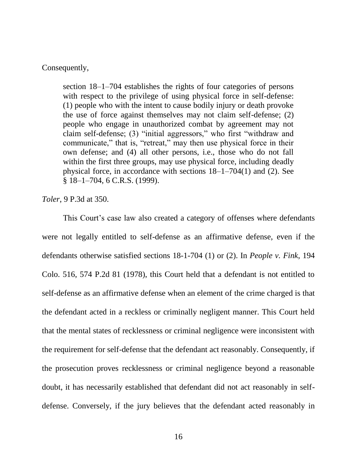Consequently,

section 18–1–704 establishes the rights of four categories of persons with respect to the privilege of using physical force in self-defense: (1) people who with the intent to cause bodily injury or death provoke the use of force against themselves may not claim self-defense; (2) people who engage in unauthorized combat by agreement may not claim self-defense; (3) "initial aggressors," who first "withdraw and communicate," that is, "retreat," may then use physical force in their own defense; and (4) all other persons, i.e., those who do not fall within the first three groups, may use physical force, including deadly physical force, in accordance with sections 18–1–704(1) and (2). See § 18–1–704, 6 C.R.S. (1999).

*Toler*, 9 P.3d at 350.

This Court's case law also created a category of offenses where defendants were not legally entitled to self-defense as an affirmative defense, even if the defendants otherwise satisfied sections 18-1-704 (1) or (2). In *People v. Fink*, 194 Colo. 516, 574 P.2d 81 (1978), this Court held that a defendant is not entitled to self-defense as an affirmative defense when an element of the crime charged is that the defendant acted in a reckless or criminally negligent manner. This Court held that the mental states of recklessness or criminal negligence were inconsistent with the requirement for self-defense that the defendant act reasonably. Consequently, if the prosecution proves recklessness or criminal negligence beyond a reasonable doubt, it has necessarily established that defendant did not act reasonably in selfdefense. Conversely, if the jury believes that the defendant acted reasonably in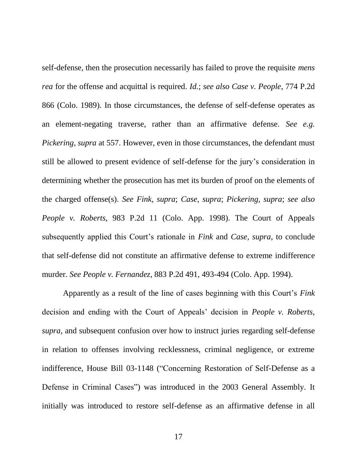self-defense, then the prosecution necessarily has failed to prove the requisite *mens rea* for the offense and acquittal is required. *Id.*; *see also Case v. People*, 774 P.2d 866 (Colo. 1989). In those circumstances, the defense of self-defense operates as an element-negating traverse, rather than an affirmative defense. *See e.g. Pickering*, *supra* at 557. However, even in those circumstances, the defendant must still be allowed to present evidence of self-defense for the jury"s consideration in determining whether the prosecution has met its burden of proof on the elements of the charged offense(s). *See Fink, supra*; *Case, supra*; *Pickering, supra*; *see also People v. Roberts*, 983 P.2d 11 (Colo. App. 1998). The Court of Appeals subsequently applied this Court"s rationale in *Fink* and *Case, supra*, to conclude that self-defense did not constitute an affirmative defense to extreme indifference murder. *See People v. Fernandez*, 883 P.2d 491, 493-494 (Colo. App. 1994).

Apparently as a result of the line of cases beginning with this Court"s *Fink* decision and ending with the Court of Appeals" decision in *People v. Roberts, supra*, and subsequent confusion over how to instruct juries regarding self-defense in relation to offenses involving recklessness, criminal negligence, or extreme indifference, House Bill 03-1148 ("Concerning Restoration of Self-Defense as a Defense in Criminal Cases") was introduced in the 2003 General Assembly. It initially was introduced to restore self-defense as an affirmative defense in all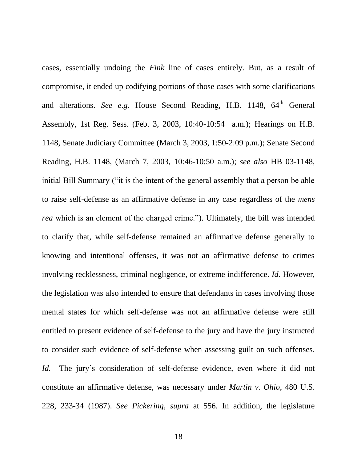cases, essentially undoing the *Fink* line of cases entirely. But, as a result of compromise, it ended up codifying portions of those cases with some clarifications and alterations. *See e.g.* House Second Reading, H.B. 1148, 64<sup>th</sup> General Assembly, 1st Reg. Sess. (Feb. 3, 2003, 10:40-10:54 a.m.); Hearings on H.B. 1148, Senate Judiciary Committee (March 3, 2003, 1:50-2:09 p.m.); Senate Second Reading, H.B. 1148, (March 7, 2003, 10:46-10:50 a.m.); *see also* HB 03-1148, initial Bill Summary ("it is the intent of the general assembly that a person be able to raise self-defense as an affirmative defense in any case regardless of the *mens rea* which is an element of the charged crime."). Ultimately, the bill was intended to clarify that, while self-defense remained an affirmative defense generally to knowing and intentional offenses, it was not an affirmative defense to crimes involving recklessness, criminal negligence, or extreme indifference. *Id.* However, the legislation was also intended to ensure that defendants in cases involving those mental states for which self-defense was not an affirmative defense were still entitled to present evidence of self-defense to the jury and have the jury instructed to consider such evidence of self-defense when assessing guilt on such offenses. *Id.* The jury's consideration of self-defense evidence, even where it did not constitute an affirmative defense, was necessary under *Martin v. Ohio*, 480 U.S. 228, 233-34 (1987). *See Pickering, supra* at 556. In addition, the legislature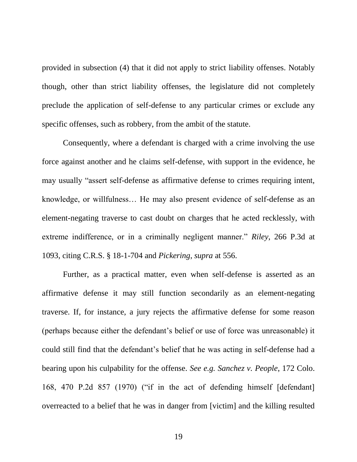provided in subsection (4) that it did not apply to strict liability offenses. Notably though, other than strict liability offenses, the legislature did not completely preclude the application of self-defense to any particular crimes or exclude any specific offenses, such as robbery, from the ambit of the statute.

Consequently, where a defendant is charged with a crime involving the use force against another and he claims self-defense, with support in the evidence, he may usually "assert self-defense as affirmative defense to crimes requiring intent, knowledge, or willfulness… He may also present evidence of self-defense as an element-negating traverse to cast doubt on charges that he acted recklessly, with extreme indifference, or in a criminally negligent manner." *Riley*, 266 P.3d at 1093, citing C.R.S. § 18-1-704 and *Pickering*, *supra* at 556.

Further, as a practical matter, even when self-defense is asserted as an affirmative defense it may still function secondarily as an element-negating traverse. If, for instance, a jury rejects the affirmative defense for some reason (perhaps because either the defendant"s belief or use of force was unreasonable) it could still find that the defendant"s belief that he was acting in self-defense had a bearing upon his culpability for the offense. *See e.g. Sanchez v. People*, 172 Colo. 168, 470 P.2d 857 (1970) ("if in the act of defending himself [defendant] overreacted to a belief that he was in danger from [victim] and the killing resulted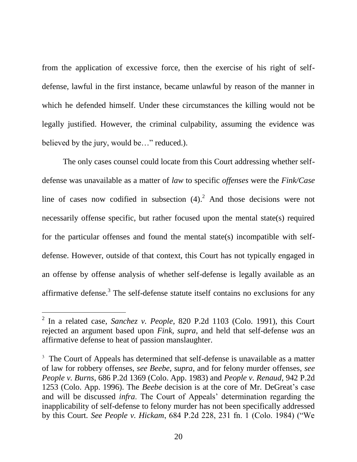from the application of excessive force, then the exercise of his right of selfdefense, lawful in the first instance, became unlawful by reason of the manner in which he defended himself. Under these circumstances the killing would not be legally justified. However, the criminal culpability, assuming the evidence was believed by the jury, would be..." reduced.).

The only cases counsel could locate from this Court addressing whether selfdefense was unavailable as a matter of *law* to specific *offenses* were the *Fink/Case* line of cases now codified in subsection  $(4)$ .<sup>2</sup> And those decisions were not necessarily offense specific, but rather focused upon the mental state(s) required for the particular offenses and found the mental state(s) incompatible with selfdefense. However, outside of that context, this Court has not typically engaged in an offense by offense analysis of whether self-defense is legally available as an affirmative defense.<sup>3</sup> The self-defense statute itself contains no exclusions for any

 $\overline{a}$ 

<sup>2</sup> In a related case, *Sanchez v. People*, 820 P.2d 1103 (Colo. 1991), this Court rejected an argument based upon *Fink, supra*, and held that self-defense *was* an affirmative defense to heat of passion manslaughter.

<sup>&</sup>lt;sup>3</sup> The Court of Appeals has determined that self-defense is unavailable as a matter of law for robbery offenses, *see Beebe, supra*, and for felony murder offenses, *see People v. Burns*, 686 P.2d 1369 (Colo. App. 1983) and *People v. Renaud*, 942 P.2d 1253 (Colo. App. 1996). The *Beebe* decision is at the core of Mr. DeGreat"s case and will be discussed *infra*. The Court of Appeals' determination regarding the inapplicability of self-defense to felony murder has not been specifically addressed by this Court. *See People v. Hickam*, 684 P.2d 228, 231 fn. 1 (Colo. 1984) ("We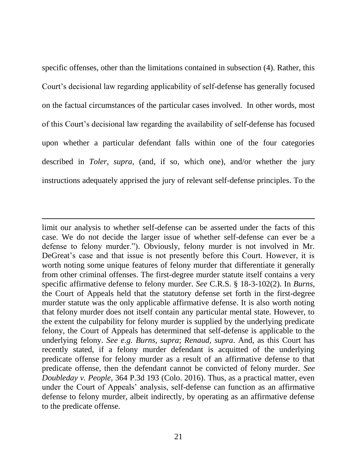specific offenses, other than the limitations contained in subsection (4). Rather, this Court"s decisional law regarding applicability of self-defense has generally focused on the factual circumstances of the particular cases involved. In other words, most of this Court"s decisional law regarding the availability of self-defense has focused upon whether a particular defendant falls within one of the four categories described in *Toler, supra*, (and, if so, which one), and/or whether the jury instructions adequately apprised the jury of relevant self-defense principles. To the

 $\overline{a}$ 

limit our analysis to whether self-defense can be asserted under the facts of this case. We do not decide the larger issue of whether self-defense can ever be a defense to felony murder."). Obviously, felony murder is not involved in Mr. DeGreat's case and that issue is not presently before this Court. However, it is worth noting some unique features of felony murder that differentiate it generally from other criminal offenses. The first-degree murder statute itself contains a very specific affirmative defense to felony murder. *See* C.R.S. § 18-3-102(2). In *Burns*, the Court of Appeals held that the statutory defense set forth in the first-degree murder statute was the only applicable affirmative defense. It is also worth noting that felony murder does not itself contain any particular mental state. However, to the extent the culpability for felony murder is supplied by the underlying predicate felony, the Court of Appeals has determined that self-defense is applicable to the underlying felony. *See e.g. Burns, supra*; *Renaud, supra*. And, as this Court has recently stated, if a felony murder defendant is acquitted of the underlying predicate offense for felony murder as a result of an affirmative defense to that predicate offense, then the defendant cannot be convicted of felony murder. *See Doubleday v. People*, 364 P.3d 193 (Colo. 2016). Thus, as a practical matter, even under the Court of Appeals" analysis, self-defense can function as an affirmative defense to felony murder, albeit indirectly, by operating as an affirmative defense to the predicate offense.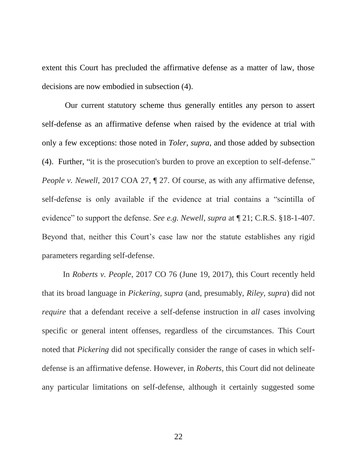extent this Court has precluded the affirmative defense as a matter of law, those decisions are now embodied in subsection (4).

Our current statutory scheme thus generally entitles any person to assert self-defense as an affirmative defense when raised by the evidence at trial with only a few exceptions: those noted in *Toler, supra*, and those added by subsection (4). Further, "it is the prosecution's burden to prove an exception to self-defense." *People v. Newell,* 2017 COA 27, ¶ 27. Of course, as with any affirmative defense, self-defense is only available if the evidence at trial contains a "scintilla of evidence" to support the defense. *See e.g. Newell*, *supra* at ¶ 21; C.R.S. §18-1-407. Beyond that, neither this Court's case law nor the statute establishes any rigid parameters regarding self-defense.

In *Roberts v. People*, 2017 CO 76 (June 19, 2017), this Court recently held that its broad language in *Pickering, supra* (and, presumably, *Riley, supra*) did not *require* that a defendant receive a self-defense instruction in *all* cases involving specific or general intent offenses, regardless of the circumstances. This Court noted that *Pickering* did not specifically consider the range of cases in which selfdefense is an affirmative defense. However, in *Roberts*, this Court did not delineate any particular limitations on self-defense, although it certainly suggested some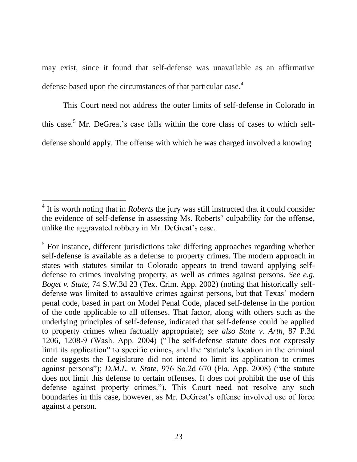may exist, since it found that self-defense was unavailable as an affirmative defense based upon the circumstances of that particular case.<sup>4</sup>

This Court need not address the outer limits of self-defense in Colorado in this case.<sup>5</sup> Mr. DeGreat's case falls within the core class of cases to which selfdefense should apply. The offense with which he was charged involved a knowing

 $\overline{a}$ 

<sup>&</sup>lt;sup>4</sup> It is worth noting that in *Roberts* the jury was still instructed that it could consider the evidence of self-defense in assessing Ms. Roberts' culpability for the offense, unlike the aggravated robbery in Mr. DeGreat's case.

 $<sup>5</sup>$  For instance, different jurisdictions take differing approaches regarding whether</sup> self-defense is available as a defense to property crimes. The modern approach in states with statutes similar to Colorado appears to trend toward applying selfdefense to crimes involving property, as well as crimes against persons. *See e.g. Boget v. State*, 74 S.W.3d 23 (Tex. Crim. App. 2002) (noting that historically selfdefense was limited to assaultive crimes against persons, but that Texas' modern penal code, based in part on Model Penal Code, placed self-defense in the portion of the code applicable to all offenses. That factor, along with others such as the underlying principles of self-defense, indicated that self-defense could be applied to property crimes when factually appropriate); *see also State v. Arth*, 87 P.3d 1206, 1208-9 (Wash. App. 2004) ("The self-defense statute does not expressly limit its application" to specific crimes, and the "statute's location in the criminal code suggests the Legislature did not intend to limit its application to crimes against persons"); *D.M.L. v. State*, 976 So.2d 670 (Fla. App. 2008) ("the statute does not limit this defense to certain offenses. It does not prohibit the use of this defense against property crimes."). This Court need not resolve any such boundaries in this case, however, as Mr. DeGreat's offense involved use of force against a person.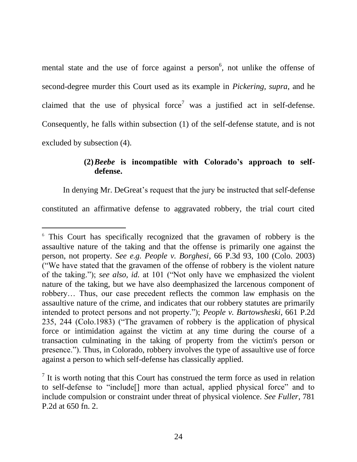mental state and the use of force against a person<sup>6</sup>, not unlike the offense of second-degree murder this Court used as its example in *Pickering, supra*, and he claimed that the use of physical force<sup>7</sup> was a justified act in self-defense. Consequently, he falls within subsection (1) of the self-defense statute, and is not excluded by subsection (4).

## **(2)***Beebe* **is incompatible with Colorado's approach to selfdefense.**

In denying Mr. DeGreat's request that the jury be instructed that self-defense

constituted an affirmative defense to aggravated robbery, the trial court cited

 $\overline{a}$ 

<sup>6</sup> This Court has specifically recognized that the gravamen of robbery is the assaultive nature of the taking and that the offense is primarily one against the person, not property. *See e.g. People v. Borghesi*, 66 P.3d 93, 100 (Colo. 2003) ("We have stated that the gravamen of the offense of robbery is the violent nature of the taking."); *see also, id.* at 101 ("Not only have we emphasized the violent nature of the taking, but we have also deemphasized the larcenous component of robbery… Thus, our case precedent reflects the common law emphasis on the assaultive nature of the crime, and indicates that our robbery statutes are primarily intended to protect persons and not property."); *People v. Bartowsheski*, 661 P.2d 235, 244 (Colo.1983) ("The gravamen of robbery is the application of physical force or intimidation against the victim at any time during the course of a transaction culminating in the taking of property from the victim's person or presence."). Thus, in Colorado, robbery involves the type of assaultive use of force against a person to which self-defense has classically applied.

 $<sup>7</sup>$  It is worth noting that this Court has construed the term force as used in relation</sup> to self-defense to "include[] more than actual, applied physical force" and to include compulsion or constraint under threat of physical violence. *See Fuller*, 781 P.2d at 650 fn. 2.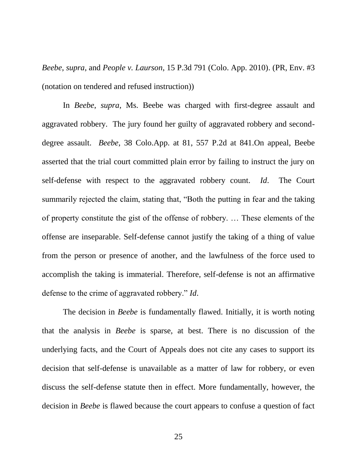*Beebe*, *supra*, and *People v. Laurson*, 15 P.3d 791 (Colo. App. 2010). (PR, Env. #3 (notation on tendered and refused instruction))

In *Beebe*, *supra*, Ms. Beebe was charged with first-degree assault and aggravated robbery. The jury found her guilty of aggravated robbery and seconddegree assault. *Beebe*, 38 Colo.App. at 81, 557 P.2d at 841.On appeal, Beebe asserted that the trial court committed plain error by failing to instruct the jury on self-defense with respect to the aggravated robbery count. *Id*. The Court summarily rejected the claim, stating that, "Both the putting in fear and the taking of property constitute the gist of the offense of robbery. … These elements of the offense are inseparable. Self-defense cannot justify the taking of a thing of value from the person or presence of another, and the lawfulness of the force used to accomplish the taking is immaterial. Therefore, self-defense is not an affirmative defense to the crime of aggravated robbery." *Id*.

The decision in *Beebe* is fundamentally flawed. Initially, it is worth noting that the analysis in *Beebe* is sparse, at best. There is no discussion of the underlying facts, and the Court of Appeals does not cite any cases to support its decision that self-defense is unavailable as a matter of law for robbery, or even discuss the self-defense statute then in effect. More fundamentally, however, the decision in *Beebe* is flawed because the court appears to confuse a question of fact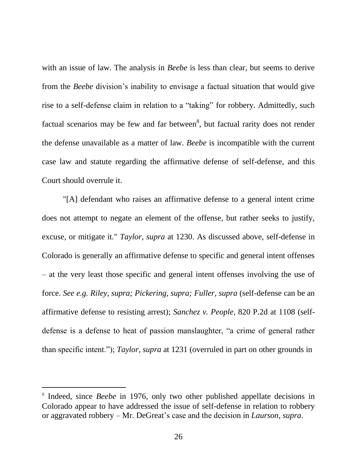with an issue of law. The analysis in *Beebe* is less than clear, but seems to derive from the *Beebe* division"s inability to envisage a factual situation that would give rise to a self-defense claim in relation to a "taking" for robbery. Admittedly, such factual scenarios may be few and far between<sup>8</sup>, but factual rarity does not render the defense unavailable as a matter of law. *Beebe* is incompatible with the current case law and statute regarding the affirmative defense of self-defense, and this Court should overrule it.

"[A] defendant who raises an affirmative defense to a general intent crime does not attempt to negate an element of the offense, but rather seeks to justify, excuse, or mitigate it." *Taylor, supra* at 1230. As discussed above, self-defense in Colorado is generally an affirmative defense to specific and general intent offenses – at the very least those specific and general intent offenses involving the use of force. *See e.g. Riley, supra; Pickering, supra; Fuller, supra* (self-defense can be an affirmative defense to resisting arrest); *Sanchez v. People*, 820 P.2d at 1108 (selfdefense is a defense to heat of passion manslaughter, "a crime of general rather than specific intent."); *Taylor*, *supra* at 1231 (overruled in part on other grounds in

 $\overline{a}$ 

<sup>&</sup>lt;sup>8</sup> Indeed, since *Beebe* in 1976, only two other published appellate decisions in Colorado appear to have addressed the issue of self-defense in relation to robbery or aggravated robbery – Mr. DeGreat"s case and the decision in *Laurson*, *supra*.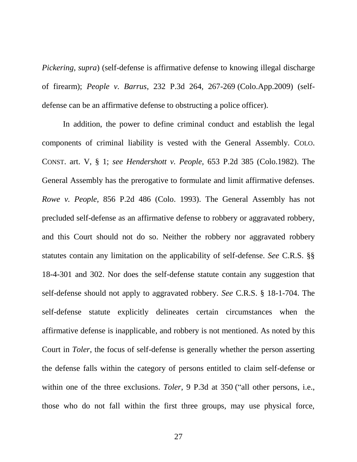*Pickering, supra*) (self-defense is affirmative defense to knowing illegal discharge of firearm); *People v. Barrus*, 232 P.3d 264, 267-269 (Colo.App.2009) (selfdefense can be an affirmative defense to obstructing a police officer).

In addition, the power to define criminal conduct and establish the legal components of criminal liability is vested with the General Assembly. COLO. CONST. art. V, § 1; *see Hendershott v. People,* 653 P.2d 385 (Colo.1982). The General Assembly has the prerogative to formulate and limit affirmative defenses. *Rowe v. People,* 856 P.2d 486 (Colo. 1993). The General Assembly has not precluded self-defense as an affirmative defense to robbery or aggravated robbery, and this Court should not do so. Neither the robbery nor aggravated robbery statutes contain any limitation on the applicability of self-defense. *See* C.R.S. §§ 18-4-301 and 302. Nor does the self-defense statute contain any suggestion that self-defense should not apply to aggravated robbery. *See* C.R.S. § 18-1-704. The self-defense statute explicitly delineates certain circumstances when the affirmative defense is inapplicable, and robbery is not mentioned. As noted by this Court in *Toler*, the focus of self-defense is generally whether the person asserting the defense falls within the category of persons entitled to claim self-defense or within one of the three exclusions. *Toler*, 9 P.3d at 350 ("all other persons, i.e., those who do not fall within the first three groups, may use physical force,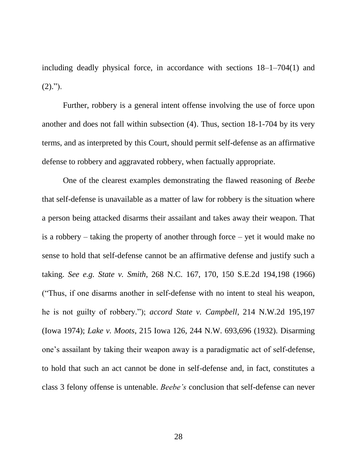including deadly physical force, in accordance with sections 18–1–704(1) and  $(2).$ ").

Further, robbery is a general intent offense involving the use of force upon another and does not fall within subsection (4). Thus, section 18-1-704 by its very terms, and as interpreted by this Court, should permit self-defense as an affirmative defense to robbery and aggravated robbery, when factually appropriate.

One of the clearest examples demonstrating the flawed reasoning of *Beebe* that self-defense is unavailable as a matter of law for robbery is the situation where a person being attacked disarms their assailant and takes away their weapon. That is a robbery – taking the property of another through force – yet it would make no sense to hold that self-defense cannot be an affirmative defense and justify such a taking. *See e.g. State v. Smith*, 268 N.C. 167, 170, 150 S.E.2d 194,198 (1966) ("Thus, if one disarms another in self-defense with no intent to steal his weapon, he is not guilty of robbery."); *accord State v. Campbell*, 214 N.W.2d 195,197 (Iowa 1974); *Lake v. Moots*, 215 Iowa 126, 244 N.W. 693,696 (1932). Disarming one"s assailant by taking their weapon away is a paradigmatic act of self-defense, to hold that such an act cannot be done in self-defense and, in fact, constitutes a class 3 felony offense is untenable. *Beebe's* conclusion that self-defense can never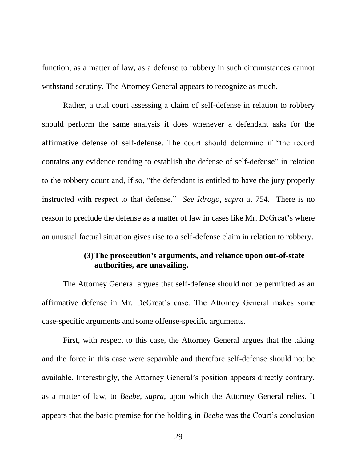function, as a matter of law, as a defense to robbery in such circumstances cannot withstand scrutiny. The Attorney General appears to recognize as much.

Rather, a trial court assessing a claim of self-defense in relation to robbery should perform the same analysis it does whenever a defendant asks for the affirmative defense of self-defense. The court should determine if "the record contains any evidence tending to establish the defense of self-defense" in relation to the robbery count and, if so, "the defendant is entitled to have the jury properly instructed with respect to that defense." *See Idrogo, supra* at 754. There is no reason to preclude the defense as a matter of law in cases like Mr. DeGreat's where an unusual factual situation gives rise to a self-defense claim in relation to robbery.

### **(3)The prosecution's arguments, and reliance upon out-of-state authorities, are unavailing.**

The Attorney General argues that self-defense should not be permitted as an affirmative defense in Mr. DeGreat's case. The Attorney General makes some case-specific arguments and some offense-specific arguments.

First, with respect to this case, the Attorney General argues that the taking and the force in this case were separable and therefore self-defense should not be available. Interestingly, the Attorney General's position appears directly contrary, as a matter of law, to *Beebe, supra*, upon which the Attorney General relies. It appears that the basic premise for the holding in *Beebe* was the Court's conclusion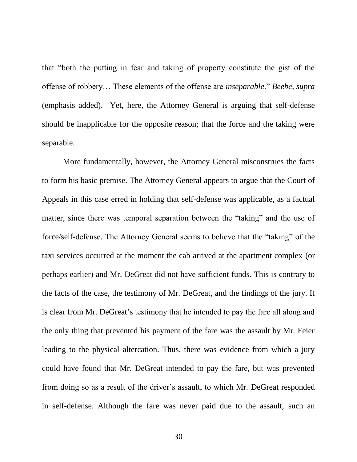that "both the putting in fear and taking of property constitute the gist of the offense of robbery… These elements of the offense are *inseparable*." *Beebe, supra* (emphasis added). Yet, here, the Attorney General is arguing that self-defense should be inapplicable for the opposite reason; that the force and the taking were separable.

More fundamentally, however, the Attorney General misconstrues the facts to form his basic premise. The Attorney General appears to argue that the Court of Appeals in this case erred in holding that self-defense was applicable, as a factual matter, since there was temporal separation between the "taking" and the use of force/self-defense. The Attorney General seems to believe that the "taking" of the taxi services occurred at the moment the cab arrived at the apartment complex (or perhaps earlier) and Mr. DeGreat did not have sufficient funds. This is contrary to the facts of the case, the testimony of Mr. DeGreat, and the findings of the jury. It is clear from Mr. DeGreat's testimony that he intended to pay the fare all along and the only thing that prevented his payment of the fare was the assault by Mr. Feier leading to the physical altercation. Thus, there was evidence from which a jury could have found that Mr. DeGreat intended to pay the fare, but was prevented from doing so as a result of the driver"s assault, to which Mr. DeGreat responded in self-defense. Although the fare was never paid due to the assault, such an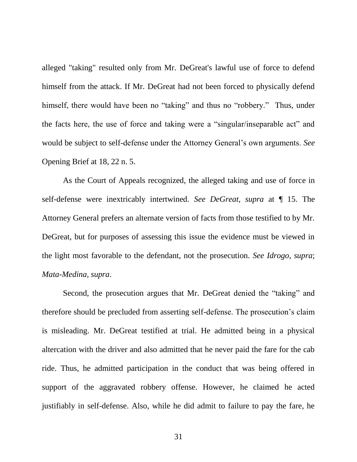alleged "taking" resulted only from Mr. DeGreat's lawful use of force to defend himself from the attack. If Mr. DeGreat had not been forced to physically defend himself, there would have been no "taking" and thus no "robbery." Thus, under the facts here, the use of force and taking were a "singular/inseparable act" and would be subject to self-defense under the Attorney General"s own arguments. *See* Opening Brief at 18, 22 n. 5.

As the Court of Appeals recognized, the alleged taking and use of force in self-defense were inextricably intertwined. *See DeGreat, supra* at ¶ 15. The Attorney General prefers an alternate version of facts from those testified to by Mr. DeGreat, but for purposes of assessing this issue the evidence must be viewed in the light most favorable to the defendant, not the prosecution. *See Idrogo, supra*; *Mata-Medina, supra*.

Second, the prosecution argues that Mr. DeGreat denied the "taking" and therefore should be precluded from asserting self-defense. The prosecution"s claim is misleading. Mr. DeGreat testified at trial. He admitted being in a physical altercation with the driver and also admitted that he never paid the fare for the cab ride. Thus, he admitted participation in the conduct that was being offered in support of the aggravated robbery offense. However, he claimed he acted justifiably in self-defense. Also, while he did admit to failure to pay the fare, he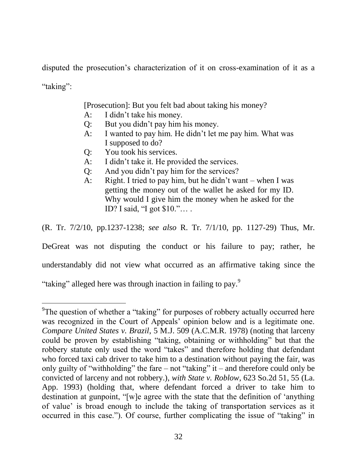disputed the prosecution"s characterization of it on cross-examination of it as a "taking":

[Prosecution]: But you felt bad about taking his money?

- A: I didn"t take his money.
- Q: But you didn"t pay him his money.
- A: I wanted to pay him. He didn"t let me pay him. What was I supposed to do?
- Q: You took his services.
- A: I didn"t take it. He provided the services.
- Q: And you didn"t pay him for the services?
- A: Right. I tried to pay him, but he didn"t want when I was getting the money out of the wallet he asked for my ID. Why would I give him the money when he asked for the ID? I said, "I got \$10."… .

(R. Tr. 7/2/10, pp.1237-1238; *see also* R. Tr. 7/1/10, pp. 1127-29) Thus, Mr.

DeGreat was not disputing the conduct or his failure to pay; rather, he

understandably did not view what occurred as an affirmative taking since the

"taking" alleged here was through inaction in failing to pay.<sup>9</sup>

 $\overline{a}$ 

<sup>&</sup>lt;sup>9</sup>The question of whether a "taking" for purposes of robbery actually occurred here was recognized in the Court of Appeals' opinion below and is a legitimate one. *Compare United States v. Brazil*, 5 M.J. 509 (A.C.M.R. 1978) (noting that larceny could be proven by establishing "taking, obtaining or withholding" but that the robbery statute only used the word "takes" and therefore holding that defendant who forced taxi cab driver to take him to a destination without paying the fair, was only guilty of "withholding" the fare – not "taking" it – and therefore could only be convicted of larceny and not robbery.), *with State v. Roblow*, 623 So.2d 51, 55 (La. App. 1993) (holding that, where defendant forced a driver to take him to destination at gunpoint, "[w]e agree with the state that the definition of "anything of value" is broad enough to include the taking of transportation services as it occurred in this case."). Of course, further complicating the issue of "taking" in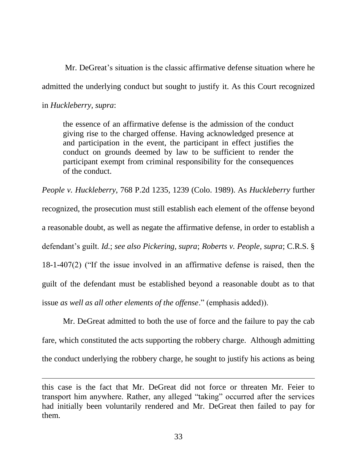Mr. DeGreat's situation is the classic affirmative defense situation where he admitted the underlying conduct but sought to justify it. As this Court recognized in *Huckleberry, supra*:

the essence of an affirmative defense is the admission of the conduct giving rise to the charged offense. Having acknowledged presence at and participation in the event, the participant in effect justifies the conduct on grounds deemed by law to be sufficient to render the participant exempt from criminal responsibility for the consequences of the conduct.

*People v. Huckleberry*, 768 P.2d 1235, 1239 (Colo. 1989). As *Huckleberry* further recognized, the prosecution must still establish each element of the offense beyond a reasonable doubt, as well as negate the affirmative defense, in order to establish a defendant"s guilt. *Id.*; *see also Pickering, supra*; *Roberts v. People, supra*; C.R.S. § 18-1-407(2) ("If the issue involved in an affirmative defense is raised, then the guilt of the defendant must be established beyond a reasonable doubt as to that issue *as well as all other elements of the offense*." (emphasis added)).

Mr. DeGreat admitted to both the use of force and the failure to pay the cab fare, which constituted the acts supporting the robbery charge. Although admitting the conduct underlying the robbery charge, he sought to justify his actions as being

 $\overline{a}$ 

this case is the fact that Mr. DeGreat did not force or threaten Mr. Feier to transport him anywhere. Rather, any alleged "taking" occurred after the services had initially been voluntarily rendered and Mr. DeGreat then failed to pay for them.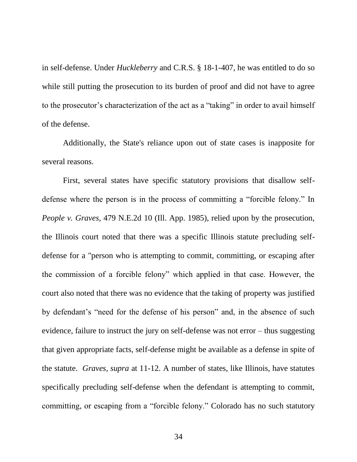in self-defense. Under *Huckleberry* and C.R.S. § 18-1-407, he was entitled to do so while still putting the prosecution to its burden of proof and did not have to agree to the prosecutor's characterization of the act as a "taking" in order to avail himself of the defense.

Additionally, the State's reliance upon out of state cases is inapposite for several reasons.

First, several states have specific statutory provisions that disallow selfdefense where the person is in the process of committing a "forcible felony." In *People v. Graves*, 479 N.E.2d 10 (Ill. App. 1985), relied upon by the prosecution, the Illinois court noted that there was a specific Illinois statute precluding selfdefense for a "person who is attempting to commit, committing, or escaping after the commission of a forcible felony" which applied in that case. However, the court also noted that there was no evidence that the taking of property was justified by defendant"s "need for the defense of his person" and, in the absence of such evidence, failure to instruct the jury on self-defense was not error – thus suggesting that given appropriate facts, self-defense might be available as a defense in spite of the statute. *Graves, supra* at 11-12. A number of states, like Illinois, have statutes specifically precluding self-defense when the defendant is attempting to commit, committing, or escaping from a "forcible felony." Colorado has no such statutory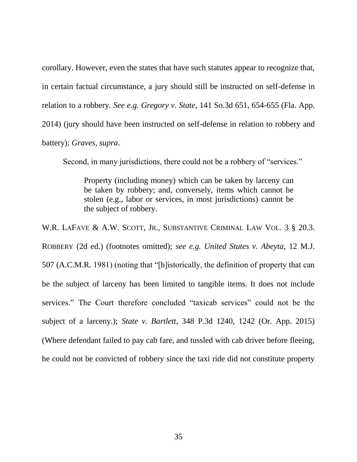corollary. However, even the states that have such statutes appear to recognize that, in certain factual circumstance, a jury should still be instructed on self-defense in relation to a robbery. *See e.g. Gregory v. State*, 141 So.3d 651, 654-655 (Fla. App. 2014) (jury should have been instructed on self-defense in relation to robbery and battery); *Graves, supra*.

Second, in many jurisdictions, there could not be a robbery of "services."

Property (including money) which can be taken by larceny can be taken by robbery; and, conversely, items which cannot be stolen (e.g., labor or services, in most jurisdictions) cannot be the subject of robbery.

W.R. LAFAVE & A.W. SCOTT, JR., SUBSTANTIVE CRIMINAL LAW VOL. 3 § 20.3. ROBBERY (2d ed.) (footnotes omitted); *see e.g. United States v. Abeyta*, 12 M.J. 507 (A.C.M.R. 1981) (noting that "[h]istorically, the definition of property that can be the subject of larceny has been limited to tangible items. It does not include services." The Court therefore concluded "taxicab services" could not be the subject of a larceny.); *State v. Bartlett*, 348 P.3d 1240, 1242 (Or. App. 2015) (Where defendant failed to pay cab fare, and tussled with cab driver before fleeing, he could not be convicted of robbery since the taxi ride did not constitute property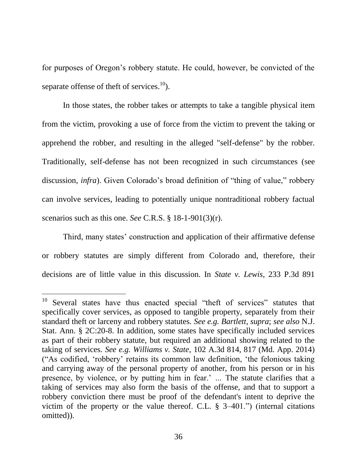for purposes of Oregon"s robbery statute. He could, however, be convicted of the separate of fense of theft of services.<sup>10</sup>).

In those states, the robber takes or attempts to take a tangible physical item from the victim, provoking a use of force from the victim to prevent the taking or apprehend the robber, and resulting in the alleged "self-defense" by the robber. Traditionally, self-defense has not been recognized in such circumstances (see discussion, *infra*). Given Colorado's broad definition of "thing of value," robbery can involve services, leading to potentially unique nontraditional robbery factual scenarios such as this one. *See* C.R.S. § 18-1-901(3)(r).

Third, many states' construction and application of their affirmative defense or robbery statutes are simply different from Colorado and, therefore, their decisions are of little value in this discussion. In *State v. Lewis*, 233 P.3d 891

 $\overline{a}$ 

<sup>&</sup>lt;sup>10</sup> Several states have thus enacted special "theft of services" statutes that specifically cover services, as opposed to tangible property, separately from their standard theft or larceny and robbery statutes. *See e.g. Bartlett, supra*; *see also* N.J. Stat. Ann. § 2C:20-8. In addition, some states have specifically included services as part of their robbery statute, but required an additional showing related to the taking of services. *See e.g. Williams v. State*, 102 A.3d 814, 817 (Md. App. 2014) ("As codified, "robbery" retains its common law definition, "the felonious taking and carrying away of the personal property of another, from his person or in his presence, by violence, or by putting him in fear.' ... The statute clarifies that a taking of services may also form the basis of the offense, and that to support a robbery conviction there must be proof of the defendant's intent to deprive the victim of the property or the value thereof. C.L. § 3–401.") (internal citations omitted)).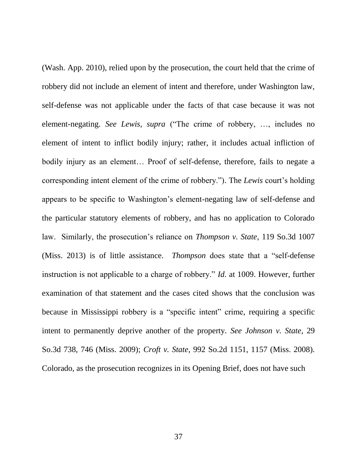(Wash. App. 2010), relied upon by the prosecution, the court held that the crime of robbery did not include an element of intent and therefore, under Washington law, self-defense was not applicable under the facts of that case because it was not element-negating. *See Lewis, supra* ("The crime of robbery, …, includes no element of intent to inflict bodily injury; rather, it includes actual infliction of bodily injury as an element… Proof of self-defense, therefore, fails to negate a corresponding intent element of the crime of robbery."). The *Lewis* court's holding appears to be specific to Washington"s element-negating law of self-defense and the particular statutory elements of robbery, and has no application to Colorado law. Similarly, the prosecution's reliance on *Thompson v. State*, 119 So.3d 1007 (Miss. 2013) is of little assistance. *Thompson* does state that a "self-defense instruction is not applicable to a charge of robbery." *Id.* at 1009. However, further examination of that statement and the cases cited shows that the conclusion was because in Mississippi robbery is a "specific intent" crime, requiring a specific intent to permanently deprive another of the property. *See Johnson v. State*, 29 So.3d 738, 746 (Miss. 2009); *Croft v. State*, 992 So.2d 1151, 1157 (Miss. 2008). Colorado, as the prosecution recognizes in its Opening Brief, does not have such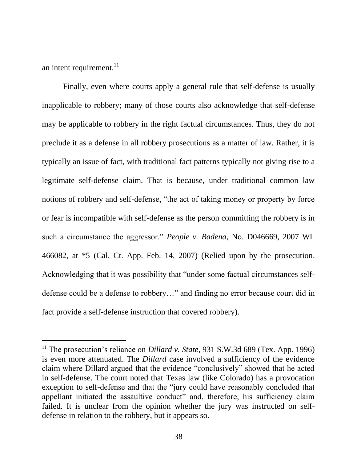an intent requirement. $^{11}$ 

 $\overline{a}$ 

Finally, even where courts apply a general rule that self-defense is usually inapplicable to robbery; many of those courts also acknowledge that self-defense may be applicable to robbery in the right factual circumstances. Thus, they do not preclude it as a defense in all robbery prosecutions as a matter of law. Rather, it is typically an issue of fact, with traditional fact patterns typically not giving rise to a legitimate self-defense claim. That is because, under traditional common law notions of robbery and self-defense, "the act of taking money or property by force or fear is incompatible with self-defense as the person committing the robbery is in such a circumstance the aggressor." *People v. Badena*, No. D046669, 2007 WL 466082, at \*5 (Cal. Ct. App. Feb. 14, 2007) (Relied upon by the prosecution. Acknowledging that it was possibility that "under some factual circumstances selfdefense could be a defense to robbery…" and finding no error because court did in fact provide a self-defense instruction that covered robbery).

<sup>&</sup>lt;sup>11</sup> The prosecution's reliance on *Dillard v. State*, 931 S.W.3d 689 (Tex. App. 1996) is even more attenuated. The *Dillard* case involved a sufficiency of the evidence claim where Dillard argued that the evidence "conclusively" showed that he acted in self-defense. The court noted that Texas law (like Colorado) has a provocation exception to self-defense and that the "jury could have reasonably concluded that appellant initiated the assaultive conduct" and, therefore, his sufficiency claim failed. It is unclear from the opinion whether the jury was instructed on selfdefense in relation to the robbery, but it appears so.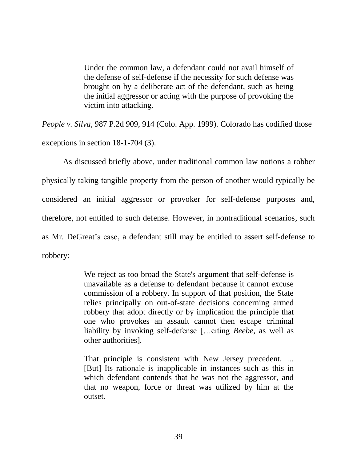Under the common law, a defendant could not avail himself of the defense of self-defense if the necessity for such defense was brought on by a deliberate act of the defendant, such as being the initial aggressor or acting with the purpose of provoking the victim into attacking.

*People v. Silva*, 987 P.2d 909, 914 (Colo. App. 1999). Colorado has codified those exceptions in section 18-1-704 (3).

As discussed briefly above, under traditional common law notions a robber physically taking tangible property from the person of another would typically be considered an initial aggressor or provoker for self-defense purposes and, therefore, not entitled to such defense. However, in nontraditional scenarios, such as Mr. DeGreat's case, a defendant still may be entitled to assert self-defense to robbery:

> We reject as too broad the State's argument that self-defense is unavailable as a defense to defendant because it cannot excuse commission of a robbery. In support of that position, the State relies principally on out-of-state decisions concerning armed robbery that adopt directly or by implication the principle that one who provokes an assault cannot then escape criminal liability by invoking self-defense […citing *Beebe*, as well as other authorities].

> That principle is consistent with New Jersey precedent. *…*  [But] Its rationale is inapplicable in instances such as this in which defendant contends that he was not the aggressor, and that no weapon, force or threat was utilized by him at the outset.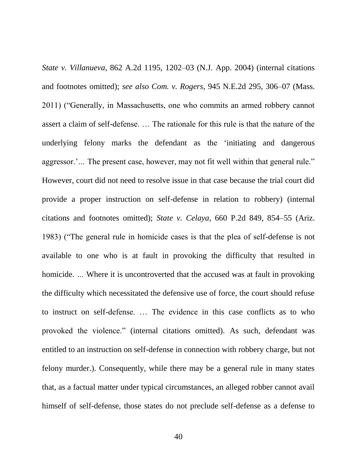*State v. Villanueva*, 862 A.2d 1195, 1202–03 (N.J. App. 2004) (internal citations and footnotes omitted); *see also Com. v. Rogers*, 945 N.E.2d 295, 306–07 (Mass. 2011) ("Generally, in Massachusetts, one who commits an armed robbery cannot assert a claim of self-defense. … The rationale for this rule is that the nature of the underlying felony marks the defendant as the "initiating and dangerous aggressor."... The present case, however, may not fit well within that general rule." However, court did not need to resolve issue in that case because the trial court did provide a proper instruction on self-defense in relation to robbery) (internal citations and footnotes omitted); *State v. Celaya*, 660 P.2d 849, 854–55 (Ariz. 1983) ("The general rule in homicide cases is that the plea of self-defense is not available to one who is at fault in provoking the difficulty that resulted in homicide. *…* Where it is uncontroverted that the accused was at fault in provoking the difficulty which necessitated the defensive use of force, the court should refuse to instruct on self-defense. … The evidence in this case conflicts as to who provoked the violence." (internal citations omitted). As such, defendant was entitled to an instruction on self-defense in connection with robbery charge, but not felony murder.). Consequently, while there may be a general rule in many states that, as a factual matter under typical circumstances, an alleged robber cannot avail himself of self-defense, those states do not preclude self-defense as a defense to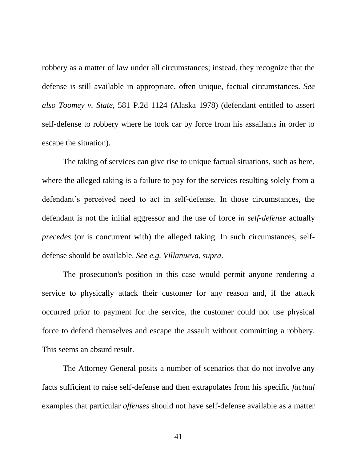robbery as a matter of law under all circumstances; instead, they recognize that the defense is still available in appropriate, often unique, factual circumstances. *See also Toomey v. State*, 581 P.2d 1124 (Alaska 1978) (defendant entitled to assert self-defense to robbery where he took car by force from his assailants in order to escape the situation).

The taking of services can give rise to unique factual situations, such as here, where the alleged taking is a failure to pay for the services resulting solely from a defendant"s perceived need to act in self-defense. In those circumstances, the defendant is not the initial aggressor and the use of force *in self-defense* actually *precedes* (or is concurrent with) the alleged taking. In such circumstances, selfdefense should be available. *See e.g. Villanueva, supra*.

The prosecution's position in this case would permit anyone rendering a service to physically attack their customer for any reason and, if the attack occurred prior to payment for the service, the customer could not use physical force to defend themselves and escape the assault without committing a robbery. This seems an absurd result.

The Attorney General posits a number of scenarios that do not involve any facts sufficient to raise self-defense and then extrapolates from his specific *factual*  examples that particular *offenses* should not have self-defense available as a matter

41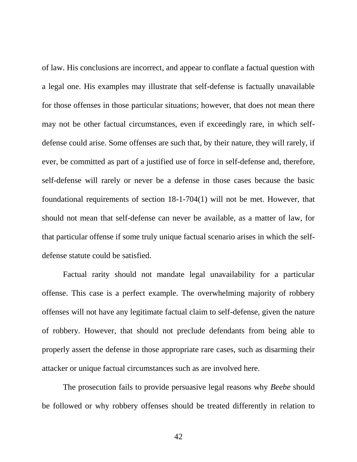of law. His conclusions are incorrect, and appear to conflate a factual question with a legal one. His examples may illustrate that self-defense is factually unavailable for those offenses in those particular situations; however, that does not mean there may not be other factual circumstances, even if exceedingly rare, in which selfdefense could arise. Some offenses are such that, by their nature, they will rarely, if ever, be committed as part of a justified use of force in self-defense and, therefore, self-defense will rarely or never be a defense in those cases because the basic foundational requirements of section 18-1-704(1) will not be met. However, that should not mean that self-defense can never be available, as a matter of law, for that particular offense if some truly unique factual scenario arises in which the selfdefense statute could be satisfied.

Factual rarity should not mandate legal unavailability for a particular offense. This case is a perfect example. The overwhelming majority of robbery offenses will not have any legitimate factual claim to self-defense, given the nature of robbery. However, that should not preclude defendants from being able to properly assert the defense in those appropriate rare cases, such as disarming their attacker or unique factual circumstances such as are involved here.

The prosecution fails to provide persuasive legal reasons why *Beebe* should be followed or why robbery offenses should be treated differently in relation to

42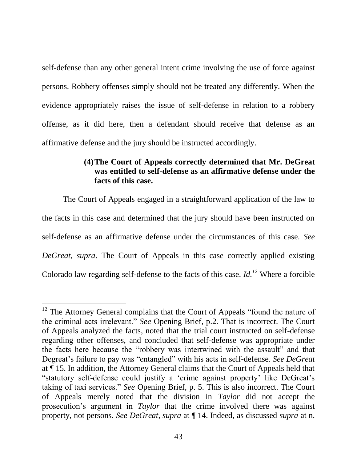self-defense than any other general intent crime involving the use of force against persons. Robbery offenses simply should not be treated any differently. When the evidence appropriately raises the issue of self-defense in relation to a robbery offense, as it did here, then a defendant should receive that defense as an affirmative defense and the jury should be instructed accordingly.

## **(4)The Court of Appeals correctly determined that Mr. DeGreat was entitled to self-defense as an affirmative defense under the facts of this case.**

The Court of Appeals engaged in a straightforward application of the law to the facts in this case and determined that the jury should have been instructed on self-defense as an affirmative defense under the circumstances of this case. *See DeGreat, supra*. The Court of Appeals in this case correctly applied existing Colorado law regarding self-defense to the facts of this case. *Id.<sup>12</sup>* Where a forcible

 $\overline{a}$ 

 $12$  The Attorney General complains that the Court of Appeals "found the nature of the criminal acts irrelevant." *See* Opening Brief, p.2. That is incorrect. The Court of Appeals analyzed the facts, noted that the trial court instructed on self-defense regarding other offenses, and concluded that self-defense was appropriate under the facts here because the "robbery was intertwined with the assault" and that Degreat's failure to pay was "entangled" with his acts in self-defense. *See DeGreat* at ¶ 15. In addition, the Attorney General claims that the Court of Appeals held that "statutory self-defense could justify a 'crime against property' like DeGreat's taking of taxi services." *See* Opening Brief, p. 5. This is also incorrect. The Court of Appeals merely noted that the division in *Taylor* did not accept the prosecution's argument in *Taylor* that the crime involved there was against property, not persons. *See DeGreat, supra* at ¶ 14. Indeed, as discussed *supra* at n.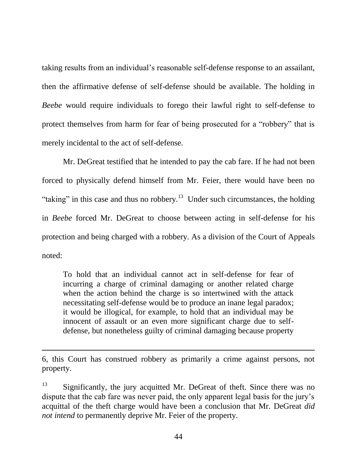taking results from an individual"s reasonable self-defense response to an assailant, then the affirmative defense of self-defense should be available. The holding in *Beebe* would require individuals to forego their lawful right to self-defense to protect themselves from harm for fear of being prosecuted for a "robbery" that is merely incidental to the act of self-defense.

Mr. DeGreat testified that he intended to pay the cab fare. If he had not been forced to physically defend himself from Mr. Feier, there would have been no "taking" in this case and thus no robbery.<sup>13</sup> Under such circumstances, the holding in *Beebe* forced Mr. DeGreat to choose between acting in self-defense for his protection and being charged with a robbery. As a division of the Court of Appeals noted:

To hold that an individual cannot act in self-defense for fear of incurring a charge of criminal damaging or another related charge when the action behind the charge is so intertwined with the attack necessitating self-defense would be to produce an inane legal paradox; it would be illogical, for example, to hold that an individual may be innocent of assault or an even more significant charge due to selfdefense, but nonetheless guilty of criminal damaging because property

6, this Court has construed robbery as primarily a crime against persons, not property.

 $\overline{a}$ 

 $13$  Significantly, the jury acquitted Mr. DeGreat of theft. Since there was no dispute that the cab fare was never paid, the only apparent legal basis for the jury"s acquittal of the theft charge would have been a conclusion that Mr. DeGreat *did not intend* to permanently deprive Mr. Feier of the property.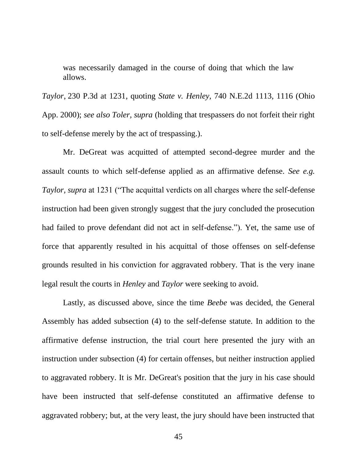was necessarily damaged in the course of doing that which the law allows.

*Taylor*, 230 P.3d at 1231, quoting *State v. Henley,* 740 N.E.2d 1113, 1116 (Ohio App. 2000); *see also Toler, supra* (holding that trespassers do not forfeit their right to self-defense merely by the act of trespassing.).

Mr. DeGreat was acquitted of attempted second-degree murder and the assault counts to which self-defense applied as an affirmative defense. *See e.g. Taylor, supra* at 1231 ("The acquittal verdicts on all charges where the self-defense instruction had been given strongly suggest that the jury concluded the prosecution had failed to prove defendant did not act in self-defense."). Yet, the same use of force that apparently resulted in his acquittal of those offenses on self-defense grounds resulted in his conviction for aggravated robbery. That is the very inane legal result the courts in *Henley* and *Taylor* were seeking to avoid.

Lastly, as discussed above, since the time *Beebe* was decided, the General Assembly has added subsection (4) to the self-defense statute. In addition to the affirmative defense instruction, the trial court here presented the jury with an instruction under subsection (4) for certain offenses, but neither instruction applied to aggravated robbery. It is Mr. DeGreat's position that the jury in his case should have been instructed that self-defense constituted an affirmative defense to aggravated robbery; but, at the very least, the jury should have been instructed that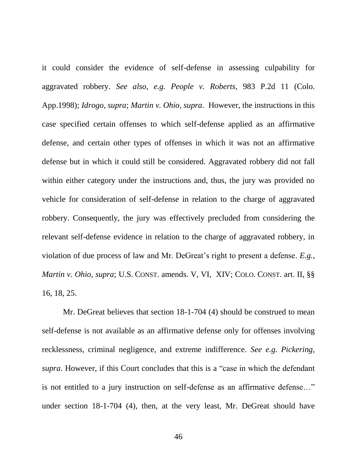it could consider the evidence of self-defense in assessing culpability for aggravated robbery. *See also, e.g. People v. Roberts*, 983 P.2d 11 (Colo. App.1998); *Idrogo, supra*; *Martin v. Ohio, supra*. However, the instructions in this case specified certain offenses to which self-defense applied as an affirmative defense, and certain other types of offenses in which it was not an affirmative defense but in which it could still be considered. Aggravated robbery did not fall within either category under the instructions and, thus, the jury was provided no vehicle for consideration of self-defense in relation to the charge of aggravated robbery. Consequently, the jury was effectively precluded from considering the relevant self-defense evidence in relation to the charge of aggravated robbery, in violation of due process of law and Mr. DeGreat's right to present a defense. *E.g.*, *Martin v. Ohio, supra*; U.S. CONST. amends. V, VI, XIV; COLO. CONST. art. II, §§ 16, 18, 25.

Mr. DeGreat believes that section 18-1-704 (4) should be construed to mean self-defense is not available as an affirmative defense only for offenses involving recklessness, criminal negligence, and extreme indifference. *See e.g. Pickering, supra*. However, if this Court concludes that this is a "case in which the defendant is not entitled to a jury instruction on self-defense as an affirmative defense…" under section 18-1-704 (4), then, at the very least, Mr. DeGreat should have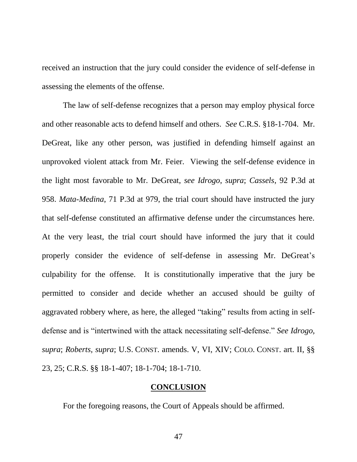received an instruction that the jury could consider the evidence of self-defense in assessing the elements of the offense.

The law of self-defense recognizes that a person may employ physical force and other reasonable acts to defend himself and others. *See* C.R.S. §18-1-704. Mr. DeGreat, like any other person, was justified in defending himself against an unprovoked violent attack from Mr. Feier. Viewing the self-defense evidence in the light most favorable to Mr. DeGreat, *see Idrogo*, *supra*; *Cassels*, 92 P.3d at 958. *Mata-Medina*, 71 P.3d at 979, the trial court should have instructed the jury that self-defense constituted an affirmative defense under the circumstances here. At the very least, the trial court should have informed the jury that it could properly consider the evidence of self-defense in assessing Mr. DeGreat's culpability for the offense. It is constitutionally imperative that the jury be permitted to consider and decide whether an accused should be guilty of aggravated robbery where, as here, the alleged "taking" results from acting in selfdefense and is "intertwined with the attack necessitating self-defense." *See Idrogo, supra*; *Roberts, supra*; U.S. CONST. amends. V, VI, XIV; COLO. CONST. art. II, §§ 23, 25; C.R.S. §§ 18-1-407; 18-1-704; 18-1-710.

#### **CONCLUSION**

For the foregoing reasons, the Court of Appeals should be affirmed.